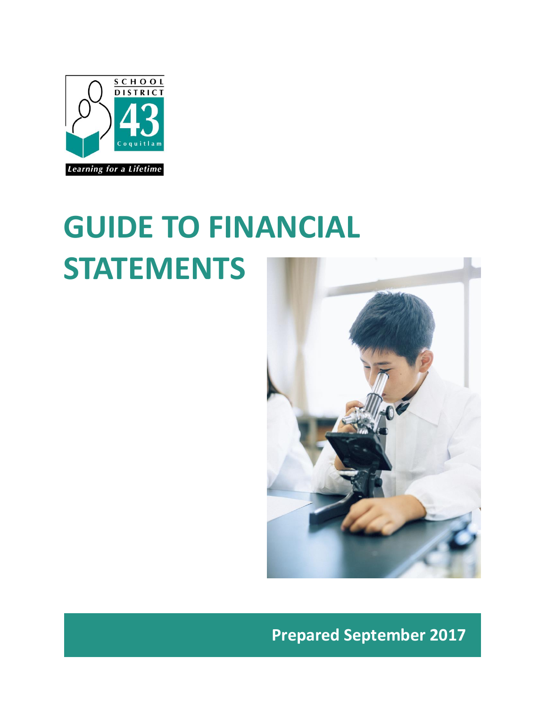

# **GUIDE TO FINANCIAL STATEMENTS**



**Prepared September 2017**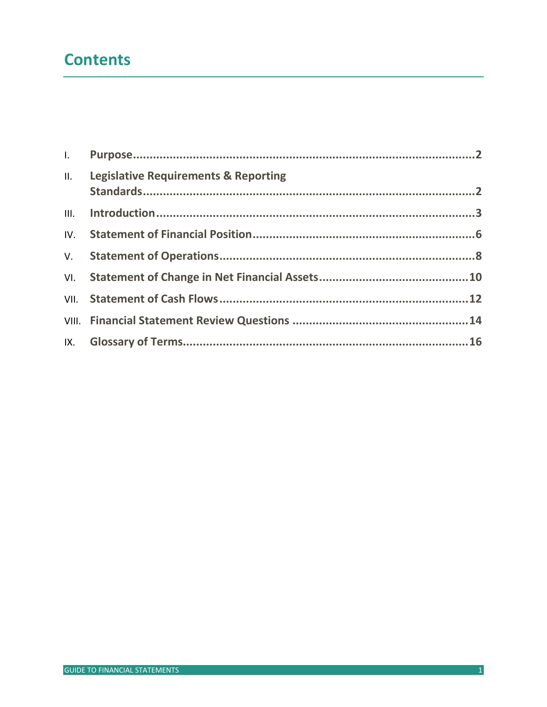## **Contents**

| II. Legislative Requirements & Reporting |  |
|------------------------------------------|--|
|                                          |  |
|                                          |  |
|                                          |  |
|                                          |  |
|                                          |  |
|                                          |  |
|                                          |  |
|                                          |  |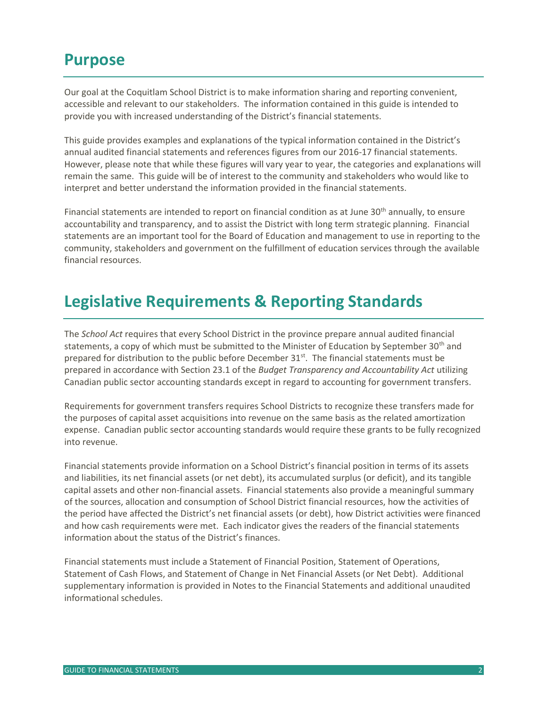### <span id="page-2-0"></span>**Purpose**

Our goal at the Coquitlam School District is to make information sharing and reporting convenient, accessible and relevant to our stakeholders. The information contained in this guide is intended to provide you with increased understanding of the District's financial statements.

This guide provides examples and explanations of the typical information contained in the District's annual audited financial statements and references figures from our 2016-17 financial statements. However, please note that while these figures will vary year to year, the categories and explanations will remain the same. This guide will be of interest to the community and stakeholders who would like to interpret and better understand the information provided in the financial statements.

Financial statements are intended to report on financial condition as at June  $30<sup>th</sup>$  annually, to ensure accountability and transparency, and to assist the District with long term strategic planning. Financial statements are an important tool for the Board of Education and management to use in reporting to the community, stakeholders and government on the fulfillment of education services through the available financial resources.

# <span id="page-2-1"></span>**Legislative Requirements & Reporting Standards**

The *School Act* requires that every School District in the province prepare annual audited financial statements, a copy of which must be submitted to the Minister of Education by September 30<sup>th</sup> and prepared for distribution to the public before December 31<sup>st</sup>. The financial statements must be prepared in accordance with Section 23.1 of the *Budget Transparency and Accountability Act* utilizing Canadian public sector accounting standards except in regard to accounting for government transfers.

Requirements for government transfers requires School Districts to recognize these transfers made for the purposes of capital asset acquisitions into revenue on the same basis as the related amortization expense. Canadian public sector accounting standards would require these grants to be fully recognized into revenue.

Financial statements provide information on a School District's financial position in terms of its assets and liabilities, its net financial assets (or net debt), its accumulated surplus (or deficit), and its tangible capital assets and other non-financial assets. Financial statements also provide a meaningful summary of the sources, allocation and consumption of School District financial resources, how the activities of the period have affected the District's net financial assets (or debt), how District activities were financed and how cash requirements were met. Each indicator gives the readers of the financial statements information about the status of the District's finances.

Financial statements must include a Statement of Financial Position, Statement of Operations, Statement of Cash Flows, and Statement of Change in Net Financial Assets (or Net Debt). Additional supplementary information is provided in Notes to the Financial Statements and additional unaudited informational schedules.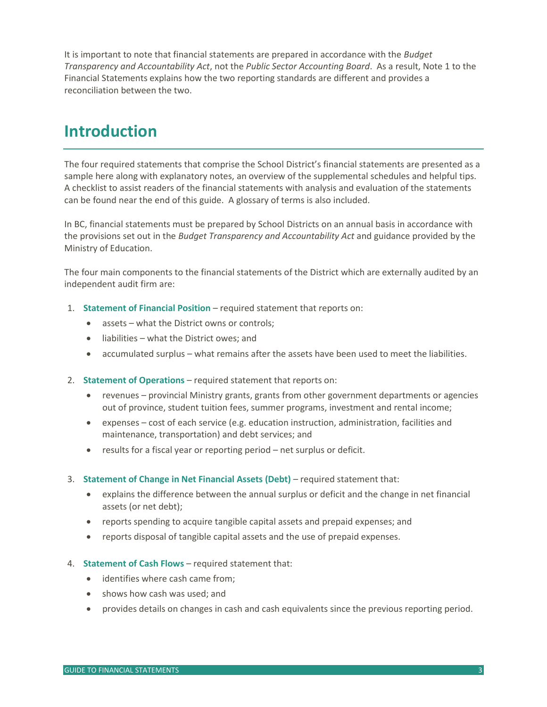It is important to note that financial statements are prepared in accordance with the *Budget Transparency and Accountability Act*, not the *Public Sector Accounting Board*. As a result, Note 1 to the Financial Statements explains how the two reporting standards are different and provides a reconciliation between the two.

### <span id="page-3-0"></span>**Introduction**

The four required statements that comprise the School District's financial statements are presented as a sample here along with explanatory notes, an overview of the supplemental schedules and helpful tips. A checklist to assist readers of the financial statements with analysis and evaluation of the statements can be found near the end of this guide. A glossary of terms is also included.

In BC, financial statements must be prepared by School Districts on an annual basis in accordance with the provisions set out in the *Budget Transparency and Accountability Act* and guidance provided by the Ministry of Education.

The four main components to the financial statements of the District which are externally audited by an independent audit firm are:

- 1. **Statement of Financial Position** required statement that reports on:
	- assets what the District owns or controls;
	- liabilities what the District owes; and
	- accumulated surplus what remains after the assets have been used to meet the liabilities.
- 2. **Statement of Operations** required statement that reports on:
	- revenues provincial Ministry grants, grants from other government departments or agencies out of province, student tuition fees, summer programs, investment and rental income;
	- expenses cost of each service (e.g. education instruction, administration, facilities and maintenance, transportation) and debt services; and
	- results for a fiscal year or reporting period net surplus or deficit.
- 3. **Statement of Change in Net Financial Assets (Debt)** required statement that:
	- explains the difference between the annual surplus or deficit and the change in net financial assets (or net debt);
	- reports spending to acquire tangible capital assets and prepaid expenses; and
	- reports disposal of tangible capital assets and the use of prepaid expenses.
- 4. **Statement of Cash Flows** required statement that:
	- identifies where cash came from:
	- shows how cash was used; and
	- provides details on changes in cash and cash equivalents since the previous reporting period.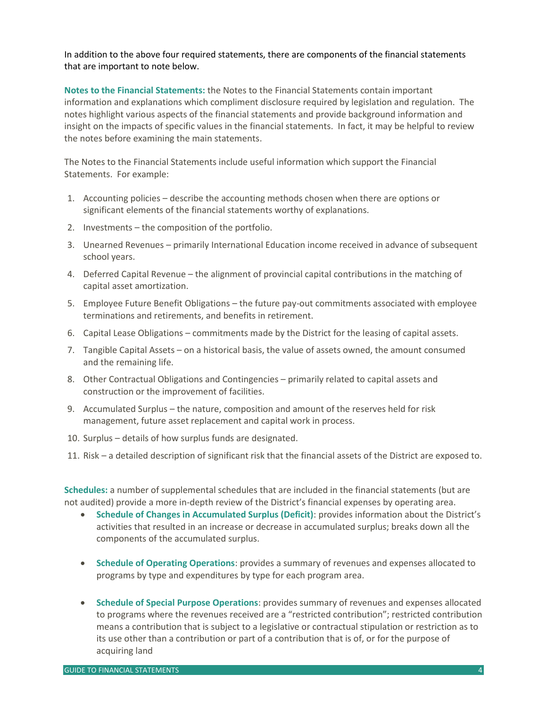In addition to the above four required statements, there are components of the financial statements that are important to note below.

**Notes to the Financial Statements:** the Notes to the Financial Statements contain important information and explanations which compliment disclosure required by legislation and regulation. The notes highlight various aspects of the financial statements and provide background information and insight on the impacts of specific values in the financial statements. In fact, it may be helpful to review the notes before examining the main statements.

The Notes to the Financial Statements include useful information which support the Financial Statements. For example:

- 1. Accounting policies describe the accounting methods chosen when there are options or significant elements of the financial statements worthy of explanations.
- 2. Investments the composition of the portfolio.
- 3. Unearned Revenues primarily International Education income received in advance of subsequent school years.
- 4. Deferred Capital Revenue the alignment of provincial capital contributions in the matching of capital asset amortization.
- 5. Employee Future Benefit Obligations the future pay-out commitments associated with employee terminations and retirements, and benefits in retirement.
- 6. Capital Lease Obligations commitments made by the District for the leasing of capital assets.
- 7. Tangible Capital Assets on a historical basis, the value of assets owned, the amount consumed and the remaining life.
- 8. Other Contractual Obligations and Contingencies primarily related to capital assets and construction or the improvement of facilities.
- 9. Accumulated Surplus the nature, composition and amount of the reserves held for risk management, future asset replacement and capital work in process.
- 10. Surplus details of how surplus funds are designated.
- 11. Risk a detailed description of significant risk that the financial assets of the District are exposed to.

**Schedules:** a number of supplemental schedules that are included in the financial statements (but are not audited) provide a more in-depth review of the District's financial expenses by operating area.

- **Schedule of Changes in Accumulated Surplus (Deficit)**: provides information about the District's activities that resulted in an increase or decrease in accumulated surplus; breaks down all the components of the accumulated surplus.
- **Schedule of Operating Operations**: provides a summary of revenues and expenses allocated to programs by type and expenditures by type for each program area.
- **Schedule of Special Purpose Operations**: provides summary of revenues and expenses allocated to programs where the revenues received are a "restricted contribution"; restricted contribution means a contribution that is subject to a legislative or contractual stipulation or restriction as to its use other than a contribution or part of a contribution that is of, or for the purpose of acquiring land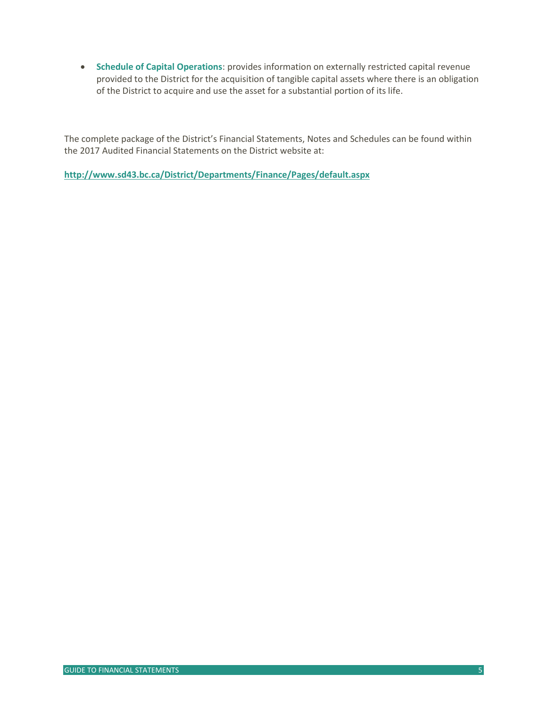**Schedule of Capital Operations**: provides information on externally restricted capital revenue provided to the District for the acquisition of tangible capital assets where there is an obligation of the District to acquire and use the asset for a substantial portion of its life.

The complete package of the District's Financial Statements, Notes and Schedules can be found within the 2017 Audited Financial Statements on the District website at:

<span id="page-5-0"></span>**<http://www.sd43.bc.ca/District/Departments/Finance/Pages/default.aspx>**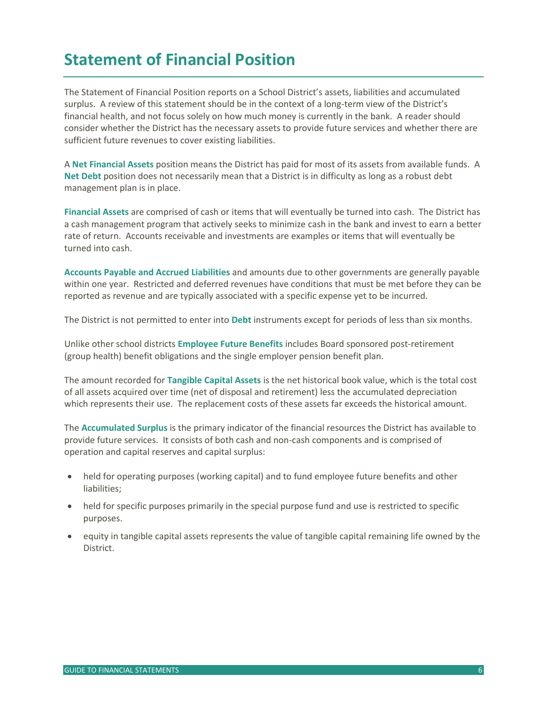# **Statement of Financial Position**

The Statement of Financial Position reports on a School District's assets, liabilities and accumulated surplus. A review of this statement should be in the context of a long-term view of the District's financial health, and not focus solely on how much money is currently in the bank. A reader should consider whether the District has the necessary assets to provide future services and whether there are sufficient future revenues to cover existing liabilities.

A **Net Financial Assets** position means the District has paid for most of its assets from available funds. A **Net Debt** position does not necessarily mean that a District is in difficulty as long as a robust debt management plan is in place.

**Financial Assets** are comprised of cash or items that will eventually be turned into cash. The District has a cash management program that actively seeks to minimize cash in the bank and invest to earn a better rate of return. Accounts receivable and investments are examples or items that will eventually be turned into cash.

**Accounts Payable and Accrued Liabilities** and amounts due to other governments are generally payable within one year. Restricted and deferred revenues have conditions that must be met before they can be reported as revenue and are typically associated with a specific expense yet to be incurred.

The District is not permitted to enter into **Debt** instruments except for periods of less than six months.

Unlike other school districts **Employee Future Benefits** includes Board sponsored post-retirement (group health) benefit obligations and the single employer pension benefit plan.

The amount recorded for **Tangible Capital Assets** is the net historical book value, which is the total cost of all assets acquired over time (net of disposal and retirement) less the accumulated depreciation which represents their use. The replacement costs of these assets far exceeds the historical amount.

The **Accumulated Surplus** is the primary indicator of the financial resources the District has available to provide future services. It consists of both cash and non-cash components and is comprised of operation and capital reserves and capital surplus:

- held for operating purposes (working capital) and to fund employee future benefits and other liabilities;
- held for specific purposes primarily in the special purpose fund and use is restricted to specific purposes.
- equity in tangible capital assets represents the value of tangible capital remaining life owned by the **District**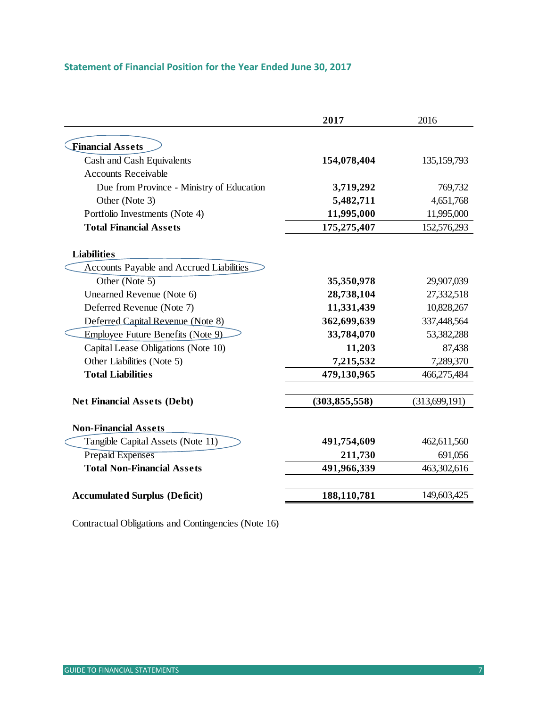### **Statement of Financial Position for the Year Ended June 30, 2017**

|                                           | 2017            | 2016            |
|-------------------------------------------|-----------------|-----------------|
|                                           |                 |                 |
| <b>Financial Assets</b>                   |                 |                 |
| Cash and Cash Equivalents                 | 154,078,404     | 135, 159, 793   |
| <b>Accounts Receivable</b>                |                 |                 |
| Due from Province - Ministry of Education | 3,719,292       | 769,732         |
| Other (Note 3)                            | 5,482,711       | 4,651,768       |
| Portfolio Investments (Note 4)            | 11,995,000      | 11,995,000      |
| <b>Total Financial Assets</b>             | 175,275,407     | 152,576,293     |
| <b>Liabilities</b>                        |                 |                 |
| Accounts Payable and Accrued Liabilities  |                 |                 |
| Other (Note $5$ )                         | 35,350,978      | 29,907,039      |
| Unearned Revenue (Note 6)                 | 28,738,104      | 27,332,518      |
| Deferred Revenue (Note 7)                 | 11,331,439      | 10,828,267      |
| Deferred Capital Revenue (Note 8)         | 362,699,639     | 337,448,564     |
| Employee Future Benefits (Note 9)         | 33,784,070      | 53,382,288      |
| Capital Lease Obligations (Note 10)       | 11,203          | 87,438          |
| Other Liabilities (Note 5)                | 7,215,532       | 7,289,370       |
| <b>Total Liabilities</b>                  | 479,130,965     | 466,275,484     |
| <b>Net Financial Assets (Debt)</b>        | (303, 855, 558) | (313, 699, 191) |
|                                           |                 |                 |
| <b>Non-Financial Assets</b>               |                 |                 |
| Tangible Capital Assets (Note 11)         | 491,754,609     | 462,611,560     |
| <b>Prepaid Expenses</b>                   | 211,730         | 691,056         |
| <b>Total Non-Financial Assets</b>         | 491,966,339     | 463,302,616     |
|                                           |                 |                 |
| <b>Accumulated Surplus (Deficit)</b>      | 188,110,781     | 149,603,425     |

Contractual Obligations and Contingencies (Note 16)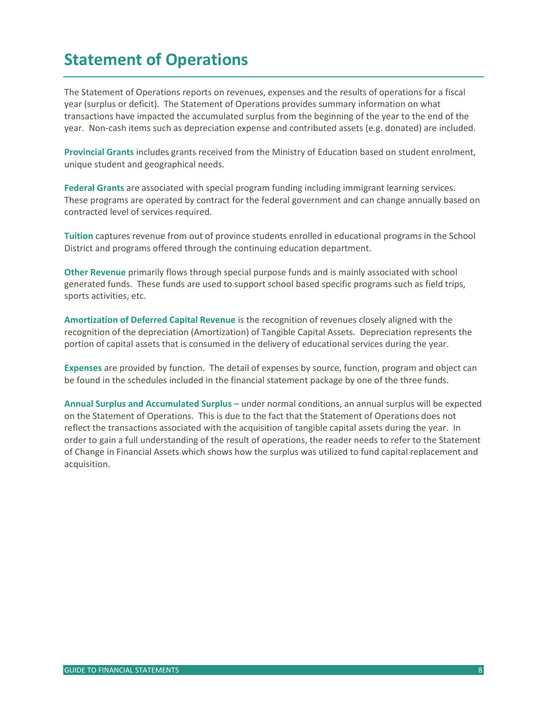# <span id="page-8-0"></span>**Statement of Operations**

The Statement of Operations reports on revenues, expenses and the results of operations for a fiscal year (surplus or deficit). The Statement of Operations provides summary information on what transactions have impacted the accumulated surplus from the beginning of the year to the end of the year. Non-cash items such as depreciation expense and contributed assets (e.g. donated) are included.

**Provincial Grants** includes grants received from the Ministry of Education based on student enrolment, unique student and geographical needs.

**Federal Grants** are associated with special program funding including immigrant learning services. These programs are operated by contract for the federal government and can change annually based on contracted level of services required.

**Tuition** captures revenue from out of province students enrolled in educational programs in the School District and programs offered through the continuing education department.

**Other Revenue** primarily flows through special purpose funds and is mainly associated with school generated funds. These funds are used to support school based specific programs such as field trips, sports activities, etc.

**Amortization of Deferred Capital Revenue** is the recognition of revenues closely aligned with the recognition of the depreciation (Amortization) of Tangible Capital Assets. Depreciation represents the portion of capital assets that is consumed in the delivery of educational services during the year.

**Expenses** are provided by function. The detail of expenses by source, function, program and object can be found in the schedules included in the financial statement package by one of the three funds.

**Annual Surplus and Accumulated Surplus** – under normal conditions, an annual surplus will be expected on the Statement of Operations. This is due to the fact that the Statement of Operations does not reflect the transactions associated with the acquisition of tangible capital assets during the year. In order to gain a full understanding of the result of operations, the reader needs to refer to the Statement of Change in Financial Assets which shows how the surplus was utilized to fund capital replacement and acquisition.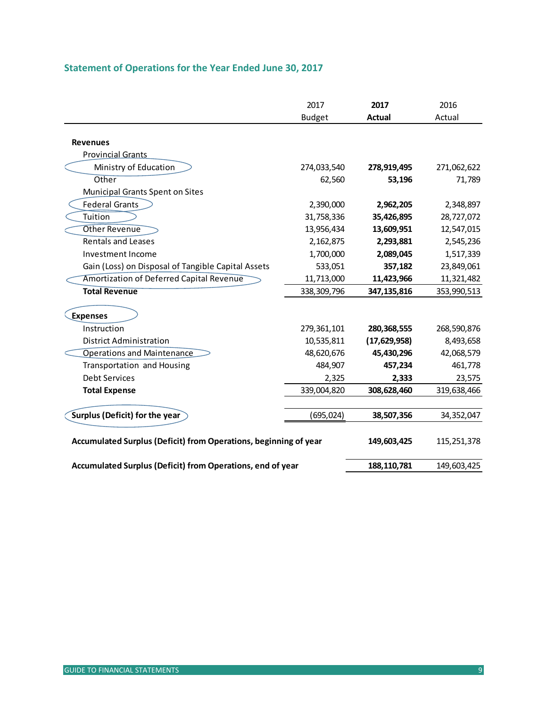|                                                                  | 2017<br><b>Budget</b> | 2017<br><b>Actual</b> | 2016<br>Actual |
|------------------------------------------------------------------|-----------------------|-----------------------|----------------|
|                                                                  |                       |                       |                |
| <b>Revenues</b>                                                  |                       |                       |                |
| <b>Provincial Grants</b>                                         |                       |                       |                |
| Ministry of Education                                            | 274,033,540           | 278,919,495           | 271,062,622    |
| Other                                                            | 62,560                | 53,196                | 71,789         |
| Municipal Grants Spent on Sites                                  |                       |                       |                |
| <b>Federal Grants</b>                                            | 2,390,000             | 2,962,205             | 2,348,897      |
| Tuition                                                          | 31,758,336            | 35,426,895            | 28,727,072     |
| Other Revenue                                                    | 13,956,434            | 13,609,951            | 12,547,015     |
| <b>Rentals and Leases</b>                                        | 2,162,875             | 2,293,881             | 2,545,236      |
| Investment Income                                                | 1,700,000             | 2,089,045             | 1,517,339      |
| Gain (Loss) on Disposal of Tangible Capital Assets               | 533,051               | 357,182               | 23,849,061     |
| Amortization of Deferred Capital Revenue                         | 11,713,000            | 11,423,966            | 11,321,482     |
| <b>Total Revenue</b>                                             | 338, 309, 796         | 347,135,816           | 353,990,513    |
| <b>Expenses</b>                                                  |                       |                       |                |
| Instruction                                                      | 279,361,101           | 280, 368, 555         | 268,590,876    |
| <b>District Administration</b>                                   | 10,535,811            | (17,629,958)          | 8,493,658      |
| <b>Operations and Maintenance</b>                                | 48,620,676            | 45,430,296            | 42,068,579     |
| Transportation and Housing                                       | 484,907               | 457,234               | 461,778        |
| <b>Debt Services</b>                                             | 2,325                 | 2,333                 | 23,575         |
| <b>Total Expense</b>                                             | 339,004,820           | 308,628,460           | 319,638,466    |
| Surplus (Deficit) for the year                                   | (695, 024)            | 38,507,356            | 34,352,047     |
| Accumulated Surplus (Deficit) from Operations, beginning of year |                       | 149,603,425           | 115,251,378    |
| Accumulated Surplus (Deficit) from Operations, end of year       |                       | 188,110,781           | 149,603,425    |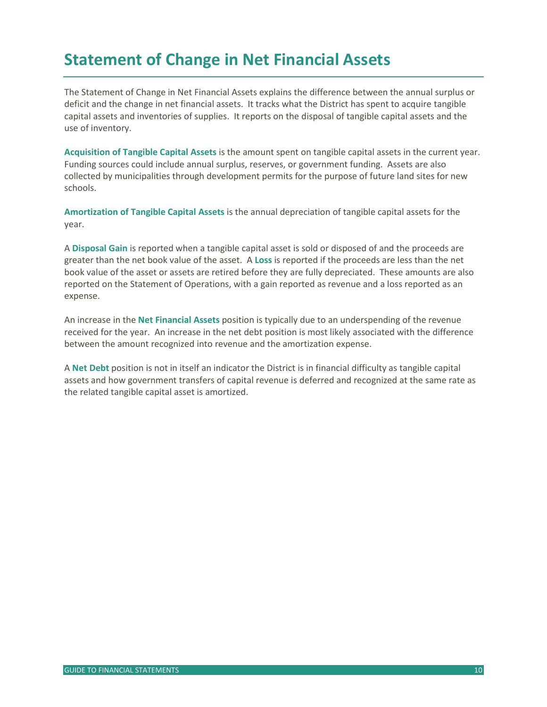# <span id="page-10-0"></span>**Statement of Change in Net Financial Assets**

The Statement of Change in Net Financial Assets explains the difference between the annual surplus or deficit and the change in net financial assets. It tracks what the District has spent to acquire tangible capital assets and inventories of supplies. It reports on the disposal of tangible capital assets and the use of inventory.

**Acquisition of Tangible Capital Assets** is the amount spent on tangible capital assets in the current year. Funding sources could include annual surplus, reserves, or government funding. Assets are also collected by municipalities through development permits for the purpose of future land sites for new schools.

**Amortization of Tangible Capital Assets** is the annual depreciation of tangible capital assets for the year.

A **Disposal Gain** is reported when a tangible capital asset is sold or disposed of and the proceeds are greater than the net book value of the asset. A **Loss** is reported if the proceeds are less than the net book value of the asset or assets are retired before they are fully depreciated. These amounts are also reported on the Statement of Operations, with a gain reported as revenue and a loss reported as an expense.

An increase in the **Net Financial Assets** position is typically due to an underspending of the revenue received for the year. An increase in the net debt position is most likely associated with the difference between the amount recognized into revenue and the amortization expense.

A **Net Debt** position is not in itself an indicator the District is in financial difficulty as tangible capital assets and how government transfers of capital revenue is deferred and recognized at the same rate as the related tangible capital asset is amortized.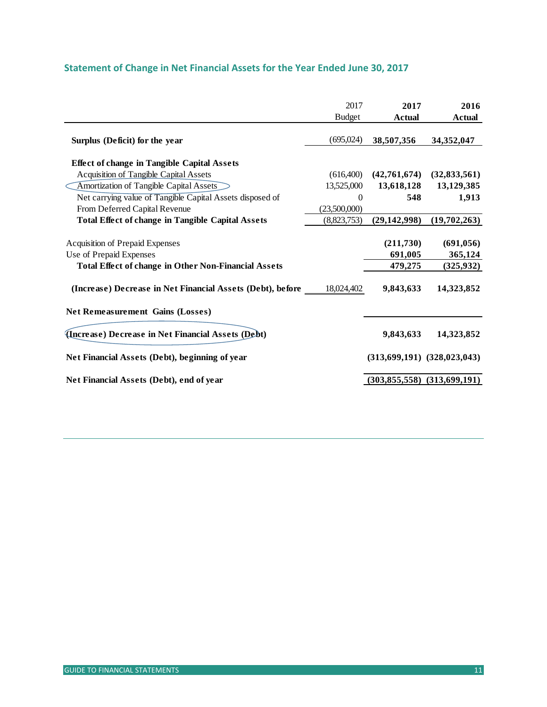| Statement of Change in Net Financial Assets for the Year Ended June 30, 2017 |  |  |  |  |
|------------------------------------------------------------------------------|--|--|--|--|
|------------------------------------------------------------------------------|--|--|--|--|

|                                                                                                                                  | 2017          | 2017                            | 2016                                |
|----------------------------------------------------------------------------------------------------------------------------------|---------------|---------------------------------|-------------------------------------|
|                                                                                                                                  | <b>Budget</b> | <b>Actual</b>                   | <b>Actual</b>                       |
| Surplus (Deficit) for the year                                                                                                   | (695,024)     | 38,507,356                      | 34,352,047                          |
| <b>Effect of change in Tangible Capital Assets</b>                                                                               |               |                                 |                                     |
| Acquisition of Tangible Capital Assets                                                                                           | (616,400)     | (42,761,674)                    | (32, 833, 561)                      |
| Amortization of Tangible Capital Assets                                                                                          | 13,525,000    | 13,618,128                      | 13,129,385                          |
| Net carrying value of Tangible Capital Assets disposed of                                                                        | $\Omega$      | 548                             | 1,913                               |
| From Deferred Capital Revenue                                                                                                    | (23,500,000)  |                                 |                                     |
| <b>Total Effect of change in Tangible Capital Assets</b>                                                                         | (8,823,753)   | (29, 142, 998)                  | (19,702,263)                        |
| <b>Acquisition of Prepaid Expenses</b><br>Use of Prepaid Expenses<br><b>Total Effect of change in Other Non-Financial Assets</b> |               | (211,730)<br>691,005<br>479,275 | (691, 056)<br>365,124<br>(325, 932) |
| (Increase) Decrease in Net Financial Assets (Debt), before ____                                                                  | 18,024,402    | 9,843,633                       | 14,323,852                          |
| <b>Net Remeasurement Gains (Losses)</b>                                                                                          |               |                                 |                                     |
| (Increase) Decrease in Net Financial Assets (Debt)                                                                               |               | 9,843,633                       | 14,323,852                          |
| Net Financial Assets (Debt), beginning of year                                                                                   |               |                                 | $(313,699,191)$ $(328,023,043)$     |
| Net Financial Assets (Debt), end of year                                                                                         |               | (303, 855, 558)                 | (313,699,191)                       |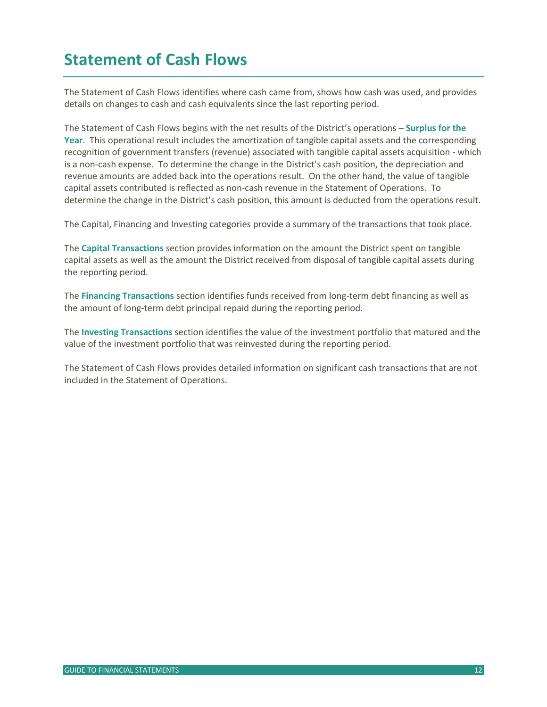# <span id="page-12-0"></span>**Statement of Cash Flows**

The Statement of Cash Flows identifies where cash came from, shows how cash was used, and provides details on changes to cash and cash equivalents since the last reporting period.

The Statement of Cash Flows begins with the net results of the District's operations – **Surplus for the Year**. This operational result includes the amortization of tangible capital assets and the corresponding recognition of government transfers (revenue) associated with tangible capital assets acquisition - which is a non-cash expense. To determine the change in the District's cash position, the depreciation and revenue amounts are added back into the operations result. On the other hand, the value of tangible capital assets contributed is reflected as non-cash revenue in the Statement of Operations. To determine the change in the District's cash position, this amount is deducted from the operations result.

The Capital, Financing and Investing categories provide a summary of the transactions that took place.

The **Capital Transactions** section provides information on the amount the District spent on tangible capital assets as well as the amount the District received from disposal of tangible capital assets during the reporting period.

The **Financing Transactions** section identifies funds received from long-term debt financing as well as the amount of long-term debt principal repaid during the reporting period.

The **Investing Transactions** section identifies the value of the investment portfolio that matured and the value of the investment portfolio that was reinvested during the reporting period.

The Statement of Cash Flows provides detailed information on significant cash transactions that are not included in the Statement of Operations.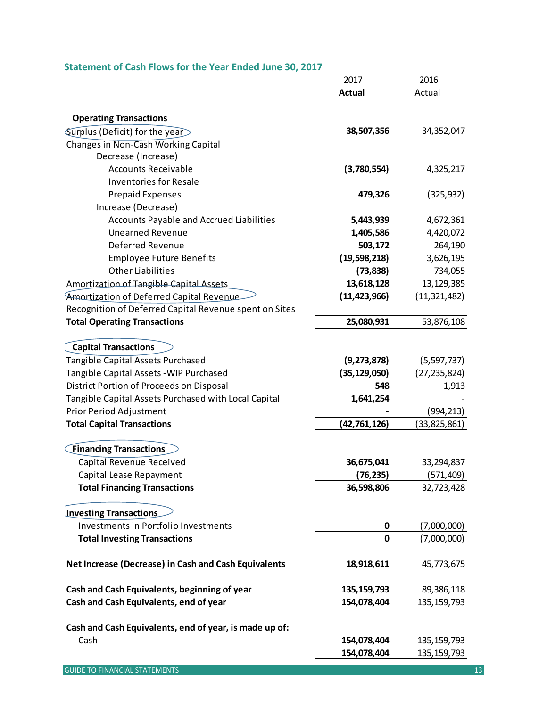### **Statement of Cash Flows for the Year Ended June 30, 2017**

|                                                                | 2017           | 2016           |
|----------------------------------------------------------------|----------------|----------------|
|                                                                | <b>Actual</b>  | Actual         |
|                                                                |                |                |
| <b>Operating Transactions</b>                                  |                |                |
| Surplus (Deficit) for the year                                 | 38,507,356     | 34,352,047     |
| Changes in Non-Cash Working Capital                            |                |                |
| Decrease (Increase)<br><b>Accounts Receivable</b>              |                |                |
|                                                                | (3,780,554)    | 4,325,217      |
| <b>Inventories for Resale</b>                                  |                |                |
| <b>Prepaid Expenses</b>                                        | 479,326        | (325, 932)     |
| Increase (Decrease)                                            |                |                |
| Accounts Payable and Accrued Liabilities                       | 5,443,939      | 4,672,361      |
| <b>Unearned Revenue</b>                                        | 1,405,586      | 4,420,072      |
| Deferred Revenue                                               | 503,172        | 264,190        |
| <b>Employee Future Benefits</b>                                | (19,598,218)   | 3,626,195      |
| <b>Other Liabilities</b>                                       | (73, 838)      | 734,055        |
| Amortization of Tangible Capital Assets                        | 13,618,128     | 13,129,385     |
| Amortization of Deferred Capital Revenue                       | (11, 423, 966) | (11, 321, 482) |
| Recognition of Deferred Capital Revenue spent on Sites         |                |                |
| <b>Total Operating Transactions</b>                            | 25,080,931     | 53,876,108     |
| <b>Capital Transactions</b>                                    |                |                |
| Tangible Capital Assets Purchased                              | (9, 273, 878)  | (5,597,737)    |
| Tangible Capital Assets - WIP Purchased                        | (35, 129, 050) | (27, 235, 824) |
| District Portion of Proceeds on Disposal                       | 548            | 1,913          |
| Tangible Capital Assets Purchased with Local Capital           | 1,641,254      |                |
| Prior Period Adjustment                                        |                | (994, 213)     |
| <b>Total Capital Transactions</b>                              | (42,761,126)   | (33, 825, 861) |
|                                                                |                |                |
| <b>Financing Transactions</b>                                  |                |                |
| Capital Revenue Received                                       | 36,675,041     | 33,294,837     |
| Capital Lease Repayment                                        | (76, 235)      | (571, 409)     |
| <b>Total Financing Transactions</b>                            | 36,598,806     | 32,723,428     |
| <b>Investing Transactions</b>                                  |                |                |
| Investments in Portfolio Investments                           | 0              | (7,000,000)    |
| <b>Total Investing Transactions</b>                            | 0              | (7,000,000)    |
|                                                                |                |                |
| Net Increase (Decrease) in Cash and Cash Equivalents           | 18,918,611     | 45,773,675     |
| Cash and Cash Equivalents, beginning of year                   | 135, 159, 793  | 89,386,118     |
| Cash and Cash Equivalents, end of year                         | 154,078,404    | 135, 159, 793  |
|                                                                |                |                |
| Cash and Cash Equivalents, end of year, is made up of:<br>Cash |                |                |
|                                                                | 154,078,404    | 135, 159, 793  |
|                                                                | 154,078,404    | 135, 159, 793  |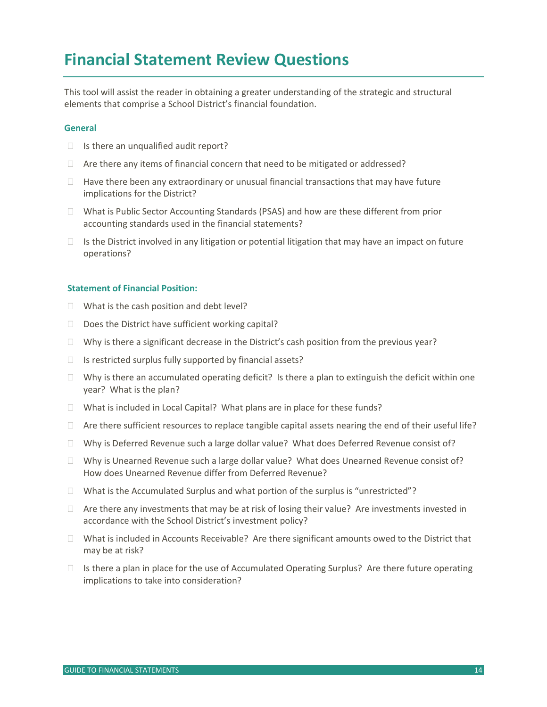## <span id="page-14-0"></span>**Financial Statement Review Questions**

This tool will assist the reader in obtaining a greater understanding of the strategic and structural elements that comprise a School District's financial foundation.

#### **General**

- $\Box$  Is there an unqualified audit report?
- $\Box$  Are there any items of financial concern that need to be mitigated or addressed?
- $\Box$  Have there been any extraordinary or unusual financial transactions that may have future implications for the District?
- $\Box$  What is Public Sector Accounting Standards (PSAS) and how are these different from prior accounting standards used in the financial statements?
- $\Box$  Is the District involved in any litigation or potential litigation that may have an impact on future operations?

#### **Statement of Financial Position:**

- $\Box$  What is the cash position and debt level?
- $\Box$  Does the District have sufficient working capital?
- $\Box$  Why is there a significant decrease in the District's cash position from the previous year?
- $\Box$  Is restricted surplus fully supported by financial assets?
- $\Box$  Why is there an accumulated operating deficit? Is there a plan to extinguish the deficit within one year? What is the plan?
- $\Box$  What is included in Local Capital? What plans are in place for these funds?
- $\Box$  Are there sufficient resources to replace tangible capital assets nearing the end of their useful life?
- $\Box$  Why is Deferred Revenue such a large dollar value? What does Deferred Revenue consist of?
- $\Box$  Why is Unearned Revenue such a large dollar value? What does Unearned Revenue consist of? How does Unearned Revenue differ from Deferred Revenue?
- $\Box$  What is the Accumulated Surplus and what portion of the surplus is "unrestricted"?
- $\Box$  Are there any investments that may be at risk of losing their value? Are investments invested in accordance with the School District's investment policy?
- $\Box$  What is included in Accounts Receivable? Are there significant amounts owed to the District that may be at risk?
- $\Box$  Is there a plan in place for the use of Accumulated Operating Surplus? Are there future operating implications to take into consideration?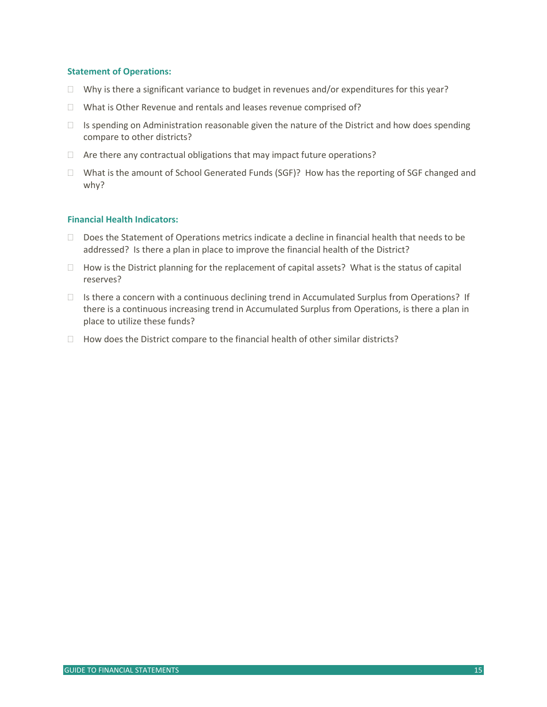#### **Statement of Operations:**

- $\Box$  Why is there a significant variance to budget in revenues and/or expenditures for this year?
- What is Other Revenue and rentals and leases revenue comprised of?
- $\Box$  Is spending on Administration reasonable given the nature of the District and how does spending compare to other districts?
- $\Box$  Are there any contractual obligations that may impact future operations?
- $\Box$  What is the amount of School Generated Funds (SGF)? How has the reporting of SGF changed and why?

#### **Financial Health Indicators:**

- $\Box$  Does the Statement of Operations metrics indicate a decline in financial health that needs to be addressed? Is there a plan in place to improve the financial health of the District?
- $\Box$  How is the District planning for the replacement of capital assets? What is the status of capital reserves?
- $\Box$  Is there a concern with a continuous declining trend in Accumulated Surplus from Operations? If there is a continuous increasing trend in Accumulated Surplus from Operations, is there a plan in place to utilize these funds?
- <span id="page-15-0"></span> $\Box$  How does the District compare to the financial health of other similar districts?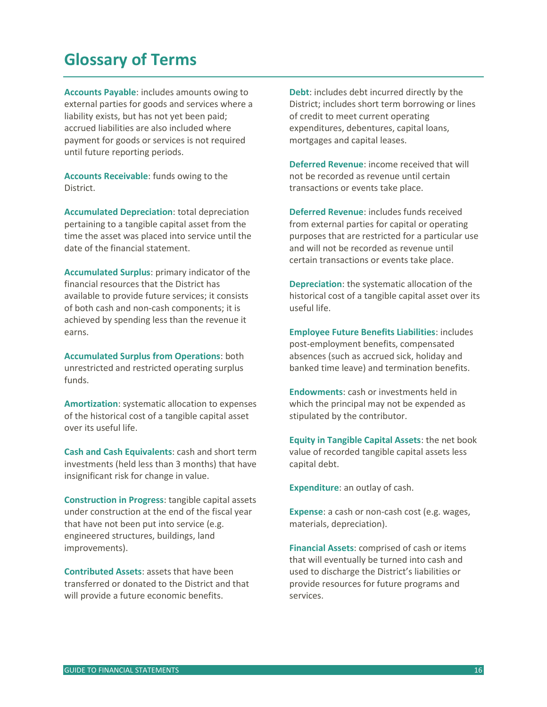### **Glossary of Terms**

**Accounts Payable**: includes amounts owing to external parties for goods and services where a liability exists, but has not yet been paid; accrued liabilities are also included where payment for goods or services is not required until future reporting periods.

**Accounts Receivable**: funds owing to the District.

**Accumulated Depreciation**: total depreciation pertaining to a tangible capital asset from the time the asset was placed into service until the date of the financial statement.

**Accumulated Surplus**: primary indicator of the financial resources that the District has available to provide future services; it consists of both cash and non-cash components; it is achieved by spending less than the revenue it earns.

**Accumulated Surplus from Operations**: both unrestricted and restricted operating surplus funds.

**Amortization**: systematic allocation to expenses of the historical cost of a tangible capital asset over its useful life.

**Cash and Cash Equivalents**: cash and short term investments (held less than 3 months) that have insignificant risk for change in value.

**Construction in Progress**: tangible capital assets under construction at the end of the fiscal year that have not been put into service (e.g. engineered structures, buildings, land improvements).

**Contributed Assets**: assets that have been transferred or donated to the District and that will provide a future economic benefits.

**Debt**: includes debt incurred directly by the District; includes short term borrowing or lines of credit to meet current operating expenditures, debentures, capital loans, mortgages and capital leases.

**Deferred Revenue**: income received that will not be recorded as revenue until certain transactions or events take place.

**Deferred Revenue**: includes funds received from external parties for capital or operating purposes that are restricted for a particular use and will not be recorded as revenue until certain transactions or events take place.

**Depreciation**: the systematic allocation of the historical cost of a tangible capital asset over its useful life.

**Employee Future Benefits Liabilities**: includes post-employment benefits, compensated absences (such as accrued sick, holiday and banked time leave) and termination benefits.

**Endowments**: cash or investments held in which the principal may not be expended as stipulated by the contributor.

**Equity in Tangible Capital Assets**: the net book value of recorded tangible capital assets less capital debt.

**Expenditure**: an outlay of cash.

**Expense**: a cash or non-cash cost (e.g. wages, materials, depreciation).

**Financial Assets**: comprised of cash or items that will eventually be turned into cash and used to discharge the District's liabilities or provide resources for future programs and services.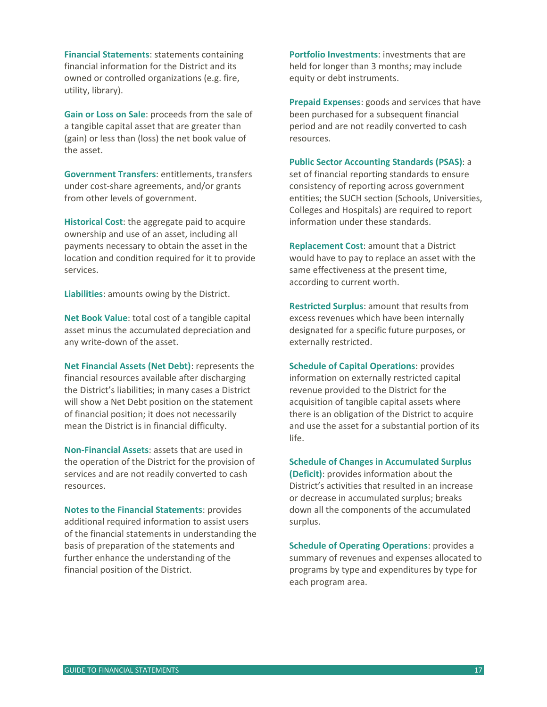**Financial Statements**: statements containing financial information for the District and its owned or controlled organizations (e.g. fire, utility, library).

**Gain or Loss on Sale**: proceeds from the sale of a tangible capital asset that are greater than (gain) or less than (loss) the net book value of the asset.

**Government Transfers**: entitlements, transfers under cost-share agreements, and/or grants from other levels of government.

**Historical Cost**: the aggregate paid to acquire ownership and use of an asset, including all payments necessary to obtain the asset in the location and condition required for it to provide services.

**Liabilities**: amounts owing by the District.

**Net Book Value**: total cost of a tangible capital asset minus the accumulated depreciation and any write-down of the asset.

**Net Financial Assets (Net Debt)**: represents the financial resources available after discharging the District's liabilities; in many cases a District will show a Net Debt position on the statement of financial position; it does not necessarily mean the District is in financial difficulty.

**Non-Financial Assets**: assets that are used in the operation of the District for the provision of services and are not readily converted to cash resources.

**Notes to the Financial Statements**: provides additional required information to assist users of the financial statements in understanding the basis of preparation of the statements and further enhance the understanding of the financial position of the District.

**Portfolio Investments**: investments that are held for longer than 3 months; may include equity or debt instruments.

**Prepaid Expenses**: goods and services that have been purchased for a subsequent financial period and are not readily converted to cash resources.

**Public Sector Accounting Standards (PSAS)**: a

set of financial reporting standards to ensure consistency of reporting across government entities; the SUCH section (Schools, Universities, Colleges and Hospitals) are required to report information under these standards.

**Replacement Cost**: amount that a District would have to pay to replace an asset with the same effectiveness at the present time, according to current worth.

**Restricted Surplus**: amount that results from excess revenues which have been internally designated for a specific future purposes, or externally restricted.

**Schedule of Capital Operations**: provides information on externally restricted capital revenue provided to the District for the acquisition of tangible capital assets where there is an obligation of the District to acquire and use the asset for a substantial portion of its life.

**Schedule of Changes in Accumulated Surplus (Deficit)**: provides information about the District's activities that resulted in an increase or decrease in accumulated surplus; breaks down all the components of the accumulated surplus.

**Schedule of Operating Operations**: provides a summary of revenues and expenses allocated to programs by type and expenditures by type for each program area.